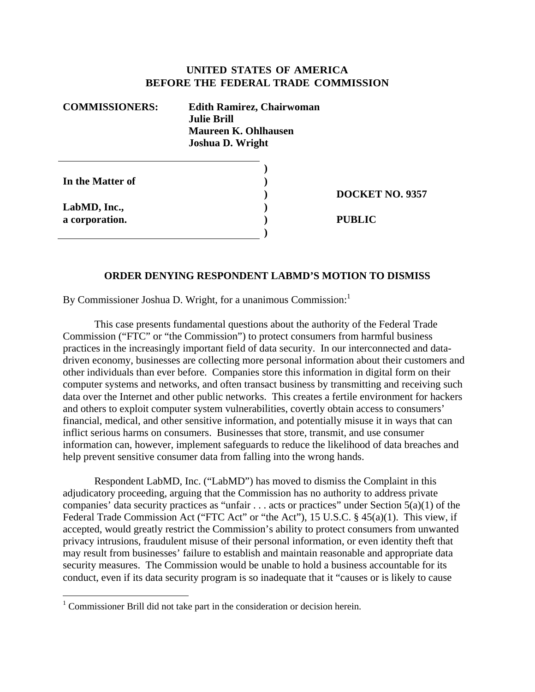### **UNITED STATES OF AMERICA BEFORE THE FEDERAL TRADE COMMISSION**

| <b>COMMISSIONERS:</b> | <b>Edith Ramirez, Chairwoman</b><br><b>Julie Brill</b><br>Maureen K. Ohlhausen<br><b>Joshua D. Wright</b> |
|-----------------------|-----------------------------------------------------------------------------------------------------------|
| In the Matter of      |                                                                                                           |

**LabMD, Inc., a corporation.** 

 $\overline{a}$ 

**DOCKET NO. 9357** 

**PUBLIC** 

### **ORDER DENYING RESPONDENT LABMD'S MOTION TO DISMISS**

**) ) )** 

By Commissioner Joshua D. Wright, for a unanimous Commission:

 This case presents fundamental questions about the authority of the Federal Trade Commission ("FTC" or "the Commission") to protect consumers from harmful business practices in the increasingly important field of data security. In our interconnected and datadriven economy, businesses are collecting more personal information about their customers and other individuals than ever before. Companies store this information in digital form on their computer systems and networks, and often transact business by transmitting and receiving such data over the Internet and other public networks. This creates a fertile environment for hackers and others to exploit computer system vulnerabilities, covertly obtain access to consumers' financial, medical, and other sensitive information, and potentially misuse it in ways that can inflict serious harms on consumers. Businesses that store, transmit, and use consumer information can, however, implement safeguards to reduce the likelihood of data breaches and help prevent sensitive consumer data from falling into the wrong hands.

 Respondent LabMD, Inc. ("LabMD") has moved to dismiss the Complaint in this adjudicatory proceeding, arguing that the Commission has no authority to address private companies' data security practices as "unfair  $\dots$  acts or practices" under Section 5(a)(1) of the Federal Trade Commission Act ("FTC Act" or "the Act"), 15 U.S.C. § 45(a)(1). This view, if accepted, would greatly restrict the Commission's ability to protect consumers from unwanted privacy intrusions, fraudulent misuse of their personal information, or even identity theft that may result from businesses' failure to establish and maintain reasonable and appropriate data security measures. The Commission would be unable to hold a business accountable for its conduct, even if its data security program is so inadequate that it "causes or is likely to cause

<sup>&</sup>lt;sup>1</sup> Commissioner Brill did not take part in the consideration or decision herein.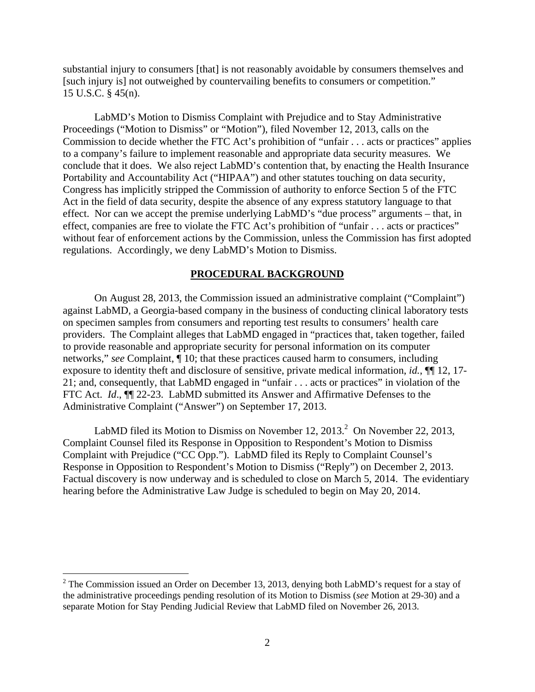substantial injury to consumers [that] is not reasonably avoidable by consumers themselves and [such injury is] not outweighed by countervailing benefits to consumers or competition." 15 U.S.C. § 45(n).

 LabMD's Motion to Dismiss Complaint with Prejudice and to Stay Administrative Proceedings ("Motion to Dismiss" or "Motion"), filed November 12, 2013, calls on the Commission to decide whether the FTC Act's prohibition of "unfair . . . acts or practices" applies to a company's failure to implement reasonable and appropriate data security measures. We conclude that it does. We also reject LabMD's contention that, by enacting the Health Insurance Portability and Accountability Act ("HIPAA") and other statutes touching on data security, Congress has implicitly stripped the Commission of authority to enforce Section 5 of the FTC Act in the field of data security, despite the absence of any express statutory language to that effect. Nor can we accept the premise underlying LabMD's "due process" arguments – that, in effect, companies are free to violate the FTC Act's prohibition of "unfair . . . acts or practices" without fear of enforcement actions by the Commission, unless the Commission has first adopted regulations. Accordingly, we deny LabMD's Motion to Dismiss.

#### **PROCEDURAL BACKGROUND**

 On August 28, 2013, the Commission issued an administrative complaint ("Complaint") against LabMD, a Georgia-based company in the business of conducting clinical laboratory tests on specimen samples from consumers and reporting test results to consumers' health care providers. The Complaint alleges that LabMD engaged in "practices that, taken together, failed to provide reasonable and appropriate security for personal information on its computer networks," *see* Complaint, ¶ 10; that these practices caused harm to consumers, including exposure to identity theft and disclosure of sensitive, private medical information, *id.*, ¶¶ 12, 17- 21; and, consequently, that LabMD engaged in "unfair . . . acts or practices" in violation of the FTC Act. *Id*., ¶¶ 22-23. LabMD submitted its Answer and Affirmative Defenses to the Administrative Complaint ("Answer") on September 17, 2013.

LabMD filed its Motion to Dismiss on November 12, 2013.<sup>2</sup> On November 22, 2013, Complaint Counsel filed its Response in Opposition to Respondent's Motion to Dismiss Complaint with Prejudice ("CC Opp."). LabMD filed its Reply to Complaint Counsel's Response in Opposition to Respondent's Motion to Dismiss ("Reply") on December 2, 2013. Factual discovery is now underway and is scheduled to close on March 5, 2014. The evidentiary hearing before the Administrative Law Judge is scheduled to begin on May 20, 2014.

<sup>&</sup>lt;sup>2</sup> The Commission issued an Order on December 13, 2013, denying both LabMD's request for a stay of the administrative proceedings pending resolution of its Motion to Dismiss (*see* Motion at 29-30) and a separate Motion for Stay Pending Judicial Review that LabMD filed on November 26, 2013.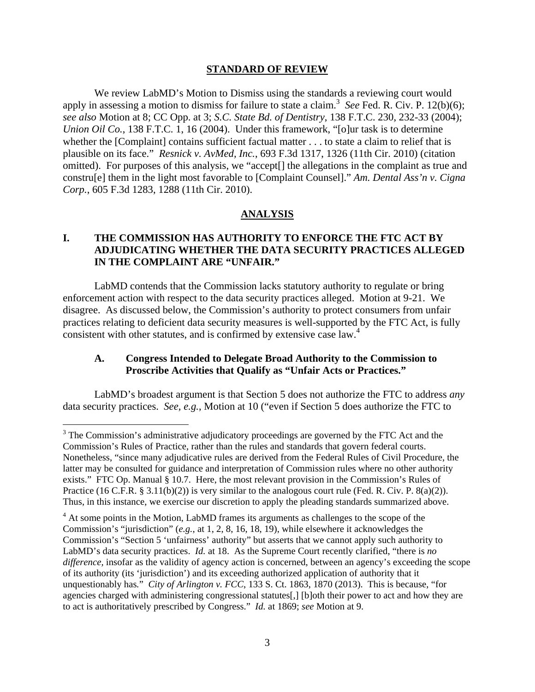#### **STANDARD OF REVIEW**

 We review LabMD's Motion to Dismiss using the standards a reviewing court would apply in assessing a motion to dismiss for failure to state a claim.<sup>3</sup> See Fed. R. Civ. P. 12(b)(6); *see also* Motion at 8; CC Opp. at 3; *S.C. State Bd. of Dentistry*, 138 F.T.C. 230, 232-33 (2004); *Union Oil Co.*, 138 F.T.C. 1, 16 (2004). Under this framework, "[o]ur task is to determine whether the [Complaint] contains sufficient factual matter . . . to state a claim to relief that is plausible on its face." *Resnick v. AvMed, Inc.*, 693 F.3d 1317, 1326 (11th Cir. 2010) (citation omitted). For purposes of this analysis, we "accept[] the allegations in the complaint as true and constru[e] them in the light most favorable to [Complaint Counsel]." *Am. Dental Ass'n v. Cigna Corp.*, 605 F.3d 1283, 1288 (11th Cir. 2010).

#### **ANALYSIS**

## **I. THE COMMISSION HAS AUTHORITY TO ENFORCE THE FTC ACT BY ADJUDICATING WHETHER THE DATA SECURITY PRACTICES ALLEGED IN THE COMPLAINT ARE "UNFAIR."**

 LabMD contends that the Commission lacks statutory authority to regulate or bring enforcement action with respect to the data security practices alleged. Motion at 9-21. We disagree. As discussed below, the Commission's authority to protect consumers from unfair practices relating to deficient data security measures is well-supported by the FTC Act, is fully consistent with other statutes, and is confirmed by extensive case law.<sup>4</sup>

### **A. Congress Intended to Delegate Broad Authority to the Commission to Proscribe Activities that Qualify as "Unfair Acts or Practices."**

 LabMD's broadest argument is that Section 5 does not authorize the FTC to address *any* data security practices. *See, e.g.*, Motion at 10 ("even if Section 5 does authorize the FTC to

 $3$  The Commission's administrative adjudicatory proceedings are governed by the FTC Act and the Commission's Rules of Practice, rather than the rules and standards that govern federal courts. Nonetheless, "since many adjudicative rules are derived from the Federal Rules of Civil Procedure, the latter may be consulted for guidance and interpretation of Commission rules where no other authority exists." FTC Op. Manual § 10.7. Here, the most relevant provision in the Commission's Rules of Practice (16 C.F.R. § 3.11(b)(2)) is very similar to the analogous court rule (Fed. R. Civ. P. 8(a)(2)). Thus, in this instance, we exercise our discretion to apply the pleading standards summarized above.

<sup>&</sup>lt;sup>4</sup> At some points in the Motion, LabMD frames its arguments as challenges to the scope of the Commission's "jurisdiction" (*e.g.*, at 1, 2, 8, 16, 18, 19), while elsewhere it acknowledges the Commission's "Section 5 'unfairness' authority" but asserts that we cannot apply such authority to LabMD's data security practices. *Id.* at 18. As the Supreme Court recently clarified, "there is *no difference*, insofar as the validity of agency action is concerned, between an agency's exceeding the scope of its authority (its 'jurisdiction') and its exceeding authorized application of authority that it unquestionably has*.*" *City of Arlington v. FCC*, 133 S. Ct. 1863, 1870 (2013). This is because, "for agencies charged with administering congressional statutes[,] [b]oth their power to act and how they are to act is authoritatively prescribed by Congress." *Id.* at 1869; *see* Motion at 9.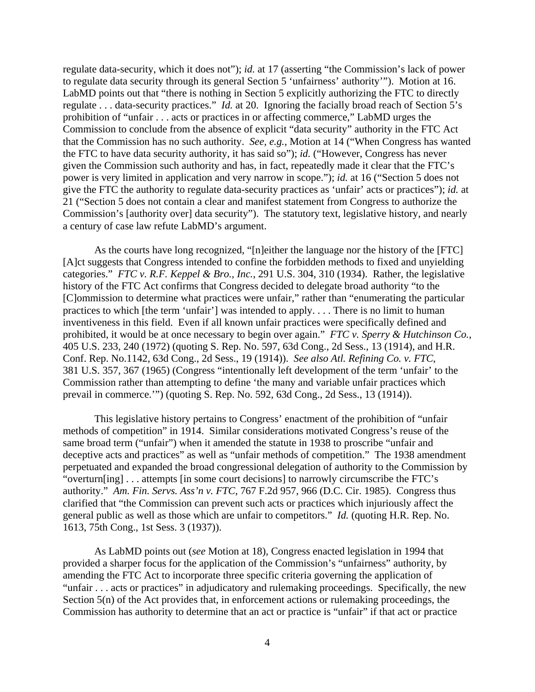regulate data-security, which it does not"); *id.* at 17 (asserting "the Commission's lack of power to regulate data security through its general Section 5 'unfairness' authority'"). Motion at 16. LabMD points out that "there is nothing in Section 5 explicitly authorizing the FTC to directly regulate . . . data-security practices." *Id.* at 20. Ignoring the facially broad reach of Section 5's prohibition of "unfair . . . acts or practices in or affecting commerce," LabMD urges the Commission to conclude from the absence of explicit "data security" authority in the FTC Act that the Commission has no such authority. *See, e.g.,* Motion at 14 ("When Congress has wanted the FTC to have data security authority, it has said so"); *id.* ("However, Congress has never given the Commission such authority and has, in fact, repeatedly made it clear that the FTC's power is very limited in application and very narrow in scope."); *id.* at 16 ("Section 5 does not give the FTC the authority to regulate data-security practices as 'unfair' acts or practices"); *id.* at 21 ("Section 5 does not contain a clear and manifest statement from Congress to authorize the Commission's [authority over] data security"). The statutory text, legislative history, and nearly a century of case law refute LabMD's argument.

 As the courts have long recognized, "[n]either the language nor the history of the [FTC] [A]ct suggests that Congress intended to confine the forbidden methods to fixed and unyielding categories." *FTC v. R.F. Keppel & Bro., Inc.*, 291 U.S. 304, 310 (1934). Rather, the legislative history of the FTC Act confirms that Congress decided to delegate broad authority "to the [C]ommission to determine what practices were unfair," rather than "enumerating the particular practices to which [the term 'unfair'] was intended to apply. . . . There is no limit to human inventiveness in this field. Even if all known unfair practices were specifically defined and prohibited, it would be at once necessary to begin over again." *FTC v. Sperry & Hutchinson Co.*, 405 U.S. 233, 240 (1972) (quoting S. Rep. No. 597, 63d Cong., 2d Sess., 13 (1914), and H.R. Conf. Rep. No.1142, 63d Cong., 2d Sess., 19 (1914)). *See also Atl. Refining Co. v. FTC*, 381 U.S. 357, 367 (1965) (Congress "intentionally left development of the term 'unfair' to the Commission rather than attempting to define 'the many and variable unfair practices which prevail in commerce.'") (quoting S. Rep. No. 592, 63d Cong., 2d Sess., 13 (1914)).

This legislative history pertains to Congress' enactment of the prohibition of "unfair methods of competition" in 1914. Similar considerations motivated Congress's reuse of the same broad term ("unfair") when it amended the statute in 1938 to proscribe "unfair and deceptive acts and practices" as well as "unfair methods of competition." The 1938 amendment perpetuated and expanded the broad congressional delegation of authority to the Commission by "overturn[ing] . . . attempts [in some court decisions] to narrowly circumscribe the FTC's authority." *Am. Fin. Servs. Ass'n v. FTC*, 767 F.2d 957, 966 (D.C. Cir. 1985). Congress thus clarified that "the Commission can prevent such acts or practices which injuriously affect the general public as well as those which are unfair to competitors." *Id.* (quoting H.R. Rep. No. 1613, 75th Cong., 1st Sess. 3 (1937)).

 As LabMD points out (*see* Motion at 18), Congress enacted legislation in 1994 that provided a sharper focus for the application of the Commission's "unfairness" authority, by amending the FTC Act to incorporate three specific criteria governing the application of "unfair . . . acts or practices" in adjudicatory and rulemaking proceedings. Specifically, the new Section 5(n) of the Act provides that, in enforcement actions or rulemaking proceedings, the Commission has authority to determine that an act or practice is "unfair" if that act or practice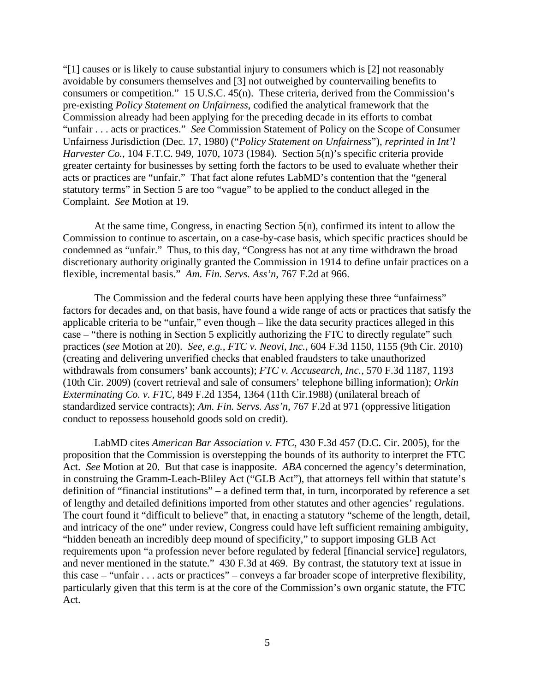"[1] causes or is likely to cause substantial injury to consumers which is [2] not reasonably avoidable by consumers themselves and [3] not outweighed by countervailing benefits to consumers or competition." 15 U.S.C. 45(n). These criteria, derived from the Commission's pre-existing *Policy Statement on Unfairness*, codified the analytical framework that the Commission already had been applying for the preceding decade in its efforts to combat "unfair . . . acts or practices." *See* Commission Statement of Policy on the Scope of Consumer Unfairness Jurisdiction (Dec. 17, 1980) ("*Policy Statement on Unfairness*"), *reprinted in Int'l Harvester Co.*, 104 F.T.C. 949, 1070, 1073 (1984). Section 5(n)'s specific criteria provide greater certainty for businesses by setting forth the factors to be used to evaluate whether their acts or practices are "unfair." That fact alone refutes LabMD's contention that the "general statutory terms" in Section 5 are too "vague" to be applied to the conduct alleged in the Complaint. *See* Motion at 19.

 At the same time, Congress, in enacting Section 5(n), confirmed its intent to allow the Commission to continue to ascertain, on a case-by-case basis, which specific practices should be condemned as "unfair." Thus, to this day, "Congress has not at any time withdrawn the broad discretionary authority originally granted the Commission in 1914 to define unfair practices on a flexible, incremental basis." *Am. Fin. Servs. Ass'n*, 767 F.2d at 966.

The Commission and the federal courts have been applying these three "unfairness" factors for decades and, on that basis, have found a wide range of acts or practices that satisfy the applicable criteria to be "unfair," even though – like the data security practices alleged in this case – "there is nothing in Section 5 explicitly authorizing the FTC to directly regulate" such practices (*see* Motion at 20). *See, e.g., FTC v. Neovi, Inc.*, 604 F.3d 1150, 1155 (9th Cir. 2010) (creating and delivering unverified checks that enabled fraudsters to take unauthorized withdrawals from consumers' bank accounts); *FTC v. Accusearch, Inc.*, 570 F.3d 1187, 1193 (10th Cir. 2009) (covert retrieval and sale of consumers' telephone billing information); *Orkin Exterminating Co. v. FTC,* 849 F.2d 1354, 1364 (11th Cir.1988) (unilateral breach of standardized service contracts); *Am. Fin. Servs. Ass'n,* 767 F.2d at 971 (oppressive litigation conduct to repossess household goods sold on credit).

 LabMD cites *American Bar Association v. FTC*, 430 F.3d 457 (D.C. Cir. 2005), for the proposition that the Commission is overstepping the bounds of its authority to interpret the FTC Act. *See* Motion at 20. But that case is inapposite. *ABA* concerned the agency's determination, in construing the Gramm-Leach-Bliley Act ("GLB Act"), that attorneys fell within that statute's definition of "financial institutions" – a defined term that, in turn, incorporated by reference a set of lengthy and detailed definitions imported from other statutes and other agencies' regulations. The court found it "difficult to believe" that, in enacting a statutory "scheme of the length, detail, and intricacy of the one" under review, Congress could have left sufficient remaining ambiguity, "hidden beneath an incredibly deep mound of specificity," to support imposing GLB Act requirements upon "a profession never before regulated by federal [financial service] regulators, and never mentioned in the statute." 430 F.3d at 469. By contrast, the statutory text at issue in this case – "unfair . . . acts or practices" – conveys a far broader scope of interpretive flexibility, particularly given that this term is at the core of the Commission's own organic statute, the FTC Act.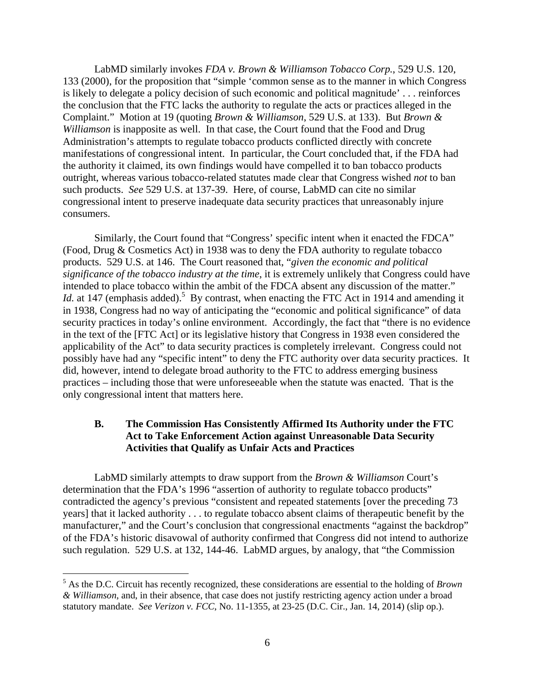LabMD similarly invokes *FDA v. Brown & Williamson Tobacco Corp.*, 529 U.S. 120, 133 (2000), for the proposition that "simple 'common sense as to the manner in which Congress is likely to delegate a policy decision of such economic and political magnitude' . . . reinforces the conclusion that the FTC lacks the authority to regulate the acts or practices alleged in the Complaint." Motion at 19 (quoting *Brown & Williamson*, 529 U.S. at 133). But *Brown & Williamson* is inapposite as well. In that case, the Court found that the Food and Drug Administration's attempts to regulate tobacco products conflicted directly with concrete manifestations of congressional intent. In particular, the Court concluded that, if the FDA had the authority it claimed, its own findings would have compelled it to ban tobacco products outright, whereas various tobacco-related statutes made clear that Congress wished *not* to ban such products. *See* 529 U.S. at 137-39. Here, of course, LabMD can cite no similar congressional intent to preserve inadequate data security practices that unreasonably injure consumers.

Similarly, the Court found that "Congress' specific intent when it enacted the FDCA" (Food, Drug & Cosmetics Act) in 1938 was to deny the FDA authority to regulate tobacco products. 529 U.S. at 146. The Court reasoned that, "*given the economic and political significance of the tobacco industry at the time*, it is extremely unlikely that Congress could have intended to place tobacco within the ambit of the FDCA absent any discussion of the matter." *Id.* at 147 (emphasis added).<sup>5</sup> By contrast, when enacting the FTC Act in 1914 and amending it in 1938, Congress had no way of anticipating the "economic and political significance" of data security practices in today's online environment. Accordingly, the fact that "there is no evidence in the text of the [FTC Act] or its legislative history that Congress in 1938 even considered the applicability of the Act" to data security practices is completely irrelevant. Congress could not possibly have had any "specific intent" to deny the FTC authority over data security practices. It did, however, intend to delegate broad authority to the FTC to address emerging business practices – including those that were unforeseeable when the statute was enacted. That is the only congressional intent that matters here.

### **B. The Commission Has Consistently Affirmed Its Authority under the FTC Act to Take Enforcement Action against Unreasonable Data Security Activities that Qualify as Unfair Acts and Practices**

 LabMD similarly attempts to draw support from the *Brown & Williamson* Court's determination that the FDA's 1996 "assertion of authority to regulate tobacco products" contradicted the agency's previous "consistent and repeated statements [over the preceding 73 years] that it lacked authority . . . to regulate tobacco absent claims of therapeutic benefit by the manufacturer," and the Court's conclusion that congressional enactments "against the backdrop" of the FDA's historic disavowal of authority confirmed that Congress did not intend to authorize such regulation. 529 U.S. at 132, 144-46. LabMD argues, by analogy, that "the Commission

<sup>5</sup> As the D.C. Circuit has recently recognized, these considerations are essential to the holding of *Brown & Williamson*, and, in their absence, that case does not justify restricting agency action under a broad statutory mandate. *See Verizon v. FCC*, No. 11-1355, at 23-25 (D.C. Cir., Jan. 14, 2014) (slip op.).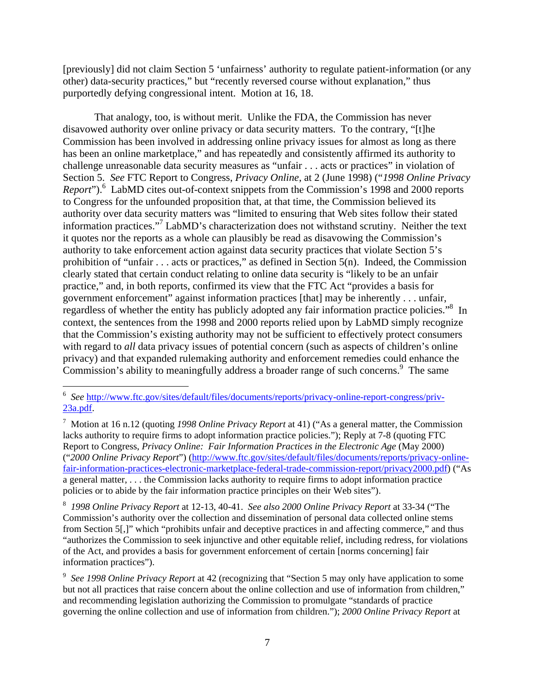[previously] did not claim Section 5 'unfairness' authority to regulate patient-information (or any other) data-security practices," but "recently reversed course without explanation," thus purportedly defying congressional intent. Motion at 16, 18.

That analogy, too, is without merit. Unlike the FDA, the Commission has never disavowed authority over online privacy or data security matters. To the contrary, "[t]he Commission has been involved in addressing online privacy issues for almost as long as there has been an online marketplace," and has repeatedly and consistently affirmed its authority to challenge unreasonable data security measures as "unfair . . . acts or practices" in violation of Section 5. *See* FTC Report to Congress, *Privacy Online*, at 2 (June 1998) ("*1998 Online Privacy*  Report").<sup>6</sup> LabMD cites out-of-context snippets from the Commission's 1998 and 2000 reports to Congress for the unfounded proposition that, at that time, the Commission believed its authority over data security matters was "limited to ensuring that Web sites follow their stated information practices."7 LabMD's characterization does not withstand scrutiny. Neither the text it quotes nor the reports as a whole can plausibly be read as disavowing the Commission's authority to take enforcement action against data security practices that violate Section 5's prohibition of "unfair . . . acts or practices," as defined in Section 5(n). Indeed, the Commission clearly stated that certain conduct relating to online data security is "likely to be an unfair practice," and, in both reports, confirmed its view that the FTC Act "provides a basis for government enforcement" against information practices [that] may be inherently . . . unfair, regardless of whether the entity has publicly adopted any fair information practice policies."<sup>8</sup> In context, the sentences from the 1998 and 2000 reports relied upon by LabMD simply recognize that the Commission's existing authority may not be sufficient to effectively protect consumers with regard to *all* data privacy issues of potential concern (such as aspects of children's online privacy) and that expanded rulemaking authority and enforcement remedies could enhance the Commission's ability to meaningfully address a broader range of such concerns.<sup>9</sup> The same

1

<sup>6</sup> *See* http://www.ftc.gov/sites/default/files/documents/reports/privacy-online-report-congress/priv-23a.pdf.

<sup>7</sup> Motion at 16 n.12 (quoting *1998 Online Privacy Report* at 41) ("As a general matter, the Commission lacks authority to require firms to adopt information practice policies."); Reply at 7-8 (quoting FTC Report to Congress, *Privacy Online: Fair Information Practices in the Electronic Age* (May 2000) ("*2000 Online Privacy Report*") (http://www.ftc.gov/sites/default/files/documents/reports/privacy-onlinefair-information-practices-electronic-marketplace-federal-trade-commission-report/privacy2000.pdf) ("As a general matter, . . . the Commission lacks authority to require firms to adopt information practice policies or to abide by the fair information practice principles on their Web sites").

<sup>8</sup> *1998 Online Privacy Report* at 12-13, 40-41. *See also 2000 Online Privacy Report* at 33-34 ("The Commission's authority over the collection and dissemination of personal data collected online stems from Section 5[,]" which "prohibits unfair and deceptive practices in and affecting commerce," and thus "authorizes the Commission to seek injunctive and other equitable relief, including redress, for violations of the Act, and provides a basis for government enforcement of certain [norms concerning] fair information practices").

<sup>&</sup>lt;sup>9</sup> See 1998 Online Privacy Report at 42 (recognizing that "Section 5 may only have application to some but not all practices that raise concern about the online collection and use of information from children," and recommending legislation authorizing the Commission to promulgate "standards of practice governing the online collection and use of information from children."); *2000 Online Privacy Report* at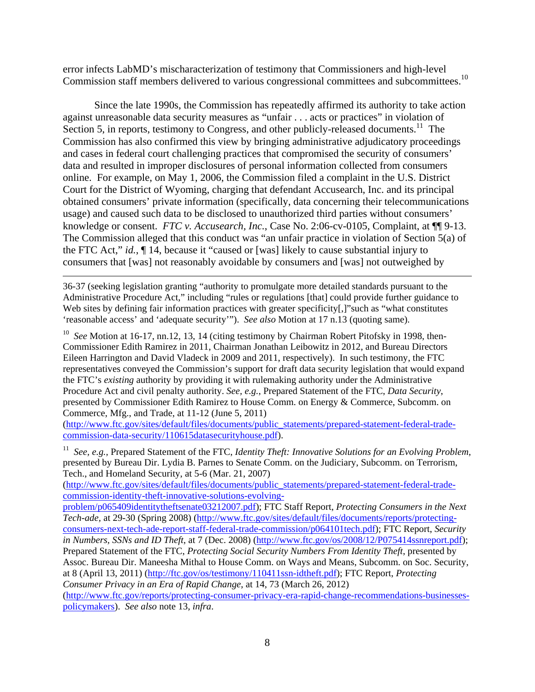error infects LabMD's mischaracterization of testimony that Commissioners and high-level Commission staff members delivered to various congressional committees and subcommittees.<sup>10</sup>

 Since the late 1990s, the Commission has repeatedly affirmed its authority to take action against unreasonable data security measures as "unfair . . . acts or practices" in violation of Section 5, in reports, testimony to Congress, and other publicly-released documents.<sup>11</sup> The Commission has also confirmed this view by bringing administrative adjudicatory proceedings and cases in federal court challenging practices that compromised the security of consumers' data and resulted in improper disclosures of personal information collected from consumers online. For example, on May 1, 2006, the Commission filed a complaint in the U.S. District Court for the District of Wyoming, charging that defendant Accusearch, Inc. and its principal obtained consumers' private information (specifically, data concerning their telecommunications usage) and caused such data to be disclosed to unauthorized third parties without consumers' knowledge or consent. *FTC v. Accusearch, Inc.*, Case No. 2:06-cv-0105, Complaint, at ¶¶ 9-13. The Commission alleged that this conduct was "an unfair practice in violation of Section 5(a) of the FTC Act," *id.*, ¶ 14, because it "caused or [was] likely to cause substantial injury to consumers that [was] not reasonably avoidable by consumers and [was] not outweighed by

36-37 (seeking legislation granting "authority to promulgate more detailed standards pursuant to the Administrative Procedure Act," including "rules or regulations [that] could provide further guidance to Web sites by defining fair information practices with greater specificity[,]" such as "what constitutes" 'reasonable access' and 'adequate security'"). *See also* Motion at 17 n.13 (quoting same).

 $\overline{a}$ 

<sup>10</sup> See Motion at 16-17, nn.12, 13, 14 (citing testimony by Chairman Robert Pitofsky in 1998, then-Commissioner Edith Ramirez in 2011, Chairman Jonathan Leibowitz in 2012, and Bureau Directors Eileen Harrington and David Vladeck in 2009 and 2011, respectively). In such testimony, the FTC representatives conveyed the Commission's support for draft data security legislation that would expand the FTC's *existing* authority by providing it with rulemaking authority under the Administrative Procedure Act and civil penalty authority. *See, e.g.*, Prepared Statement of the FTC, *Data Security*, presented by Commissioner Edith Ramirez to House Comm. on Energy & Commerce, Subcomm. on Commerce, Mfg., and Trade, at 11-12 (June 5, 2011)

(http://www.ftc.gov/sites/default/files/documents/public\_statements/prepared-statement-federal-tradecommission-data-security/110615datasecurityhouse.pdf).

11 *See, e.g.,* Prepared Statement of the FTC, *Identity Theft: Innovative Solutions for an Evolving Problem*, presented by Bureau Dir. Lydia B. Parnes to Senate Comm. on the Judiciary, Subcomm. on Terrorism, Tech., and Homeland Security, at 5-6 (Mar. 21, 2007)

(http://www.ftc.gov/sites/default/files/documents/public\_statements/prepared-statement-federal-tradecommission-identity-theft-innovative-solutions-evolving-

problem/p065409identitytheftsenate03212007.pdf); FTC Staff Report, *Protecting Consumers in the Next Tech-ade,* at 29-30 (Spring 2008) (http://www.ftc.gov/sites/default/files/documents/reports/protectingconsumers-next-tech-ade-report-staff-federal-trade-commission/p064101tech.pdf); FTC Report, *Security in Numbers, SSNs and ID Theft*, at 7 (Dec. 2008) (http://www.ftc.gov/os/2008/12/P075414ssnreport.pdf); Prepared Statement of the FTC, *Protecting Social Security Numbers From Identity Theft*, presented by Assoc. Bureau Dir. Maneesha Mithal to House Comm. on Ways and Means, Subcomm. on Soc. Security, at 8 (April 13, 2011) (http://ftc.gov/os/testimony/110411ssn-idtheft.pdf); FTC Report, *Protecting Consumer Privacy in an Era of Rapid Change*, at 14, 73 (March 26, 2012)

(http://www.ftc.gov/reports/protecting-consumer-privacy-era-rapid-change-recommendations-businessespolicymakers). *See also* note 13, *infra*.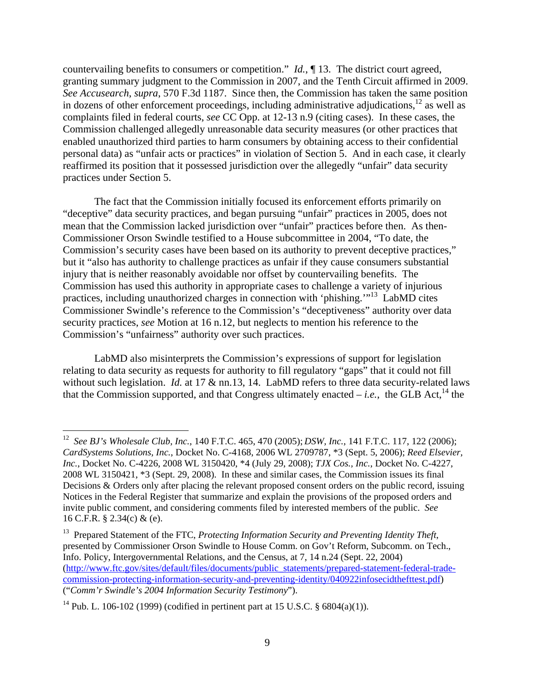countervailing benefits to consumers or competition." *Id.*, ¶ 13. The district court agreed, granting summary judgment to the Commission in 2007, and the Tenth Circuit affirmed in 2009. *See Accusearch*, *supra*, 570 F.3d 1187. Since then, the Commission has taken the same position in dozens of other enforcement proceedings, including administrative adjudications,  $^{12}$  as well as complaints filed in federal courts, *see* CC Opp. at 12-13 n.9 (citing cases). In these cases, the Commission challenged allegedly unreasonable data security measures (or other practices that enabled unauthorized third parties to harm consumers by obtaining access to their confidential personal data) as "unfair acts or practices" in violation of Section 5. And in each case, it clearly reaffirmed its position that it possessed jurisdiction over the allegedly "unfair" data security practices under Section 5.

 The fact that the Commission initially focused its enforcement efforts primarily on "deceptive" data security practices, and began pursuing "unfair" practices in 2005, does not mean that the Commission lacked jurisdiction over "unfair" practices before then. As then-Commissioner Orson Swindle testified to a House subcommittee in 2004, "To date, the Commission's security cases have been based on its authority to prevent deceptive practices," but it "also has authority to challenge practices as unfair if they cause consumers substantial injury that is neither reasonably avoidable nor offset by countervailing benefits. The Commission has used this authority in appropriate cases to challenge a variety of injurious practices, including unauthorized charges in connection with 'phishing.'"13 LabMD cites Commissioner Swindle's reference to the Commission's "deceptiveness" authority over data security practices, *see* Motion at 16 n.12, but neglects to mention his reference to the Commission's "unfairness" authority over such practices.

 LabMD also misinterprets the Commission's expressions of support for legislation relating to data security as requests for authority to fill regulatory "gaps" that it could not fill without such legislation. *Id.* at 17 & nn.13, 14. LabMD refers to three data security-related laws that the Commission supported, and that Congress ultimately enacted – *i.e.*, the GLB Act.<sup>14</sup> the

<sup>12</sup> *See BJ's Wholesale Club, Inc.*, 140 F.T.C. 465, 470 (2005); *DSW, Inc.*, 141 F.T.C. 117, 122 (2006); *CardSystems Solutions, Inc.*, Docket No. C-4168, 2006 WL 2709787, \*3 (Sept. 5, 2006); *Reed Elsevier, Inc.*, Docket No. C-4226, 2008 WL 3150420, \*4 (July 29, 2008); *TJX Cos., Inc.*, Docket No. C-4227, 2008 WL 3150421, \*3 (Sept. 29, 2008). In these and similar cases, the Commission issues its final Decisions & Orders only after placing the relevant proposed consent orders on the public record, issuing Notices in the Federal Register that summarize and explain the provisions of the proposed orders and invite public comment, and considering comments filed by interested members of the public. *See*  16 C.F.R. § 2.34(c) & (e).

<sup>&</sup>lt;sup>13</sup> Prepared Statement of the FTC, *Protecting Information Security and Preventing Identity Theft*, presented by Commissioner Orson Swindle to House Comm. on Gov't Reform, Subcomm. on Tech., Info. Policy, Intergovernmental Relations, and the Census, at 7, 14 n.24 (Sept. 22, 2004) (http://www.ftc.gov/sites/default/files/documents/public\_statements/prepared-statement-federal-tradecommission-protecting-information-security-and-preventing-identity/040922infosecidthefttest.pdf) ("*Comm'r Swindle's 2004 Information Security Testimony*").

<sup>&</sup>lt;sup>14</sup> Pub. L. 106-102 (1999) (codified in pertinent part at 15 U.S.C.  $\S$  6804(a)(1)).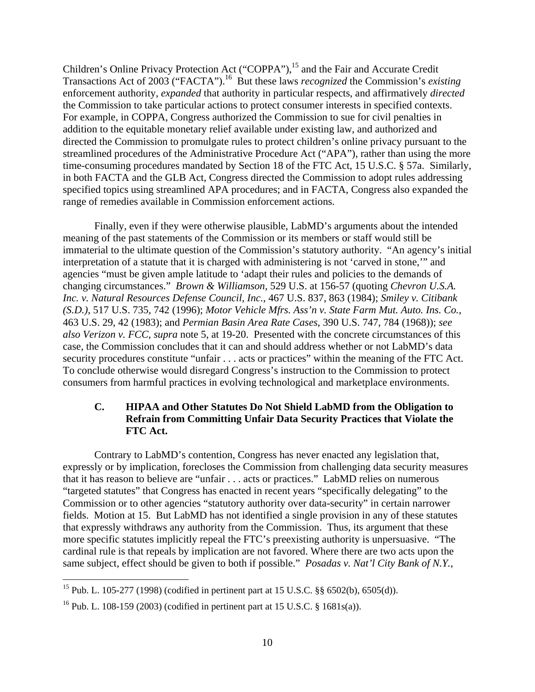Children's Online Privacy Protection Act ("COPPA"),<sup>15</sup> and the Fair and Accurate Credit Transactions Act of 2003 ("FACTA").16 But these laws *recognized* the Commission's *existing* enforcement authority, *expanded* that authority in particular respects, and affirmatively *directed* the Commission to take particular actions to protect consumer interests in specified contexts. For example, in COPPA, Congress authorized the Commission to sue for civil penalties in addition to the equitable monetary relief available under existing law, and authorized and directed the Commission to promulgate rules to protect children's online privacy pursuant to the streamlined procedures of the Administrative Procedure Act ("APA"), rather than using the more time-consuming procedures mandated by Section 18 of the FTC Act, 15 U.S.C. § 57a. Similarly, in both FACTA and the GLB Act, Congress directed the Commission to adopt rules addressing specified topics using streamlined APA procedures; and in FACTA, Congress also expanded the range of remedies available in Commission enforcement actions.

 Finally, even if they were otherwise plausible, LabMD's arguments about the intended meaning of the past statements of the Commission or its members or staff would still be immaterial to the ultimate question of the Commission's statutory authority. "An agency's initial interpretation of a statute that it is charged with administering is not 'carved in stone,'" and agencies "must be given ample latitude to 'adapt their rules and policies to the demands of changing circumstances." *Brown & Williamson*, 529 U.S. at 156-57 (quoting *Chevron U.S.A. Inc. v. Natural Resources Defense Council, Inc.*, 467 U.S. 837, 863 (1984); *Smiley v. Citibank (S.D.)*, 517 U.S. 735, 742 (1996); *Motor Vehicle Mfrs. Ass'n v. State Farm Mut. Auto. Ins. Co.*, 463 U.S. 29, 42 (1983); and *Permian Basin Area Rate Cases*, 390 U.S. 747, 784 (1968)); *see also Verizon v. FCC*, *supra* note 5, at 19-20. Presented with the concrete circumstances of this case, the Commission concludes that it can and should address whether or not LabMD's data security procedures constitute "unfair . . . acts or practices" within the meaning of the FTC Act. To conclude otherwise would disregard Congress's instruction to the Commission to protect consumers from harmful practices in evolving technological and marketplace environments.

## **C. HIPAA and Other Statutes Do Not Shield LabMD from the Obligation to Refrain from Committing Unfair Data Security Practices that Violate the FTC Act.**

 Contrary to LabMD's contention, Congress has never enacted any legislation that, expressly or by implication, forecloses the Commission from challenging data security measures that it has reason to believe are "unfair . . . acts or practices." LabMD relies on numerous "targeted statutes" that Congress has enacted in recent years "specifically delegating" to the Commission or to other agencies "statutory authority over data-security" in certain narrower fields. Motion at 15. But LabMD has not identified a single provision in any of these statutes that expressly withdraws any authority from the Commission. Thus, its argument that these more specific statutes implicitly repeal the FTC's preexisting authority is unpersuasive. "The cardinal rule is that repeals by implication are not favored. Where there are two acts upon the same subject, effect should be given to both if possible." *Posadas v. Nat'l City Bank of N.Y.*,

1

<sup>&</sup>lt;sup>15</sup> Pub. L. 105-277 (1998) (codified in pertinent part at 15 U.S.C. §§ 6502(b), 6505(d)).

<sup>&</sup>lt;sup>16</sup> Pub. L. 108-159 (2003) (codified in pertinent part at 15 U.S.C. § 1681s(a)).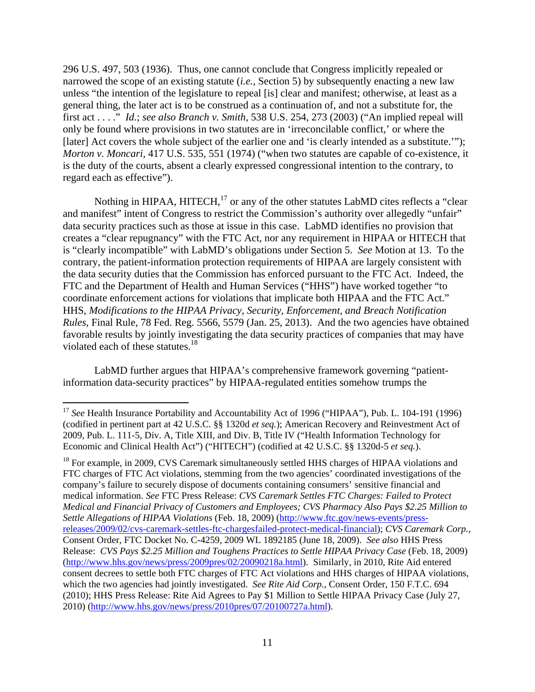296 U.S. 497, 503 (1936). Thus, one cannot conclude that Congress implicitly repealed or narrowed the scope of an existing statute (*i.e.*, Section 5) by subsequently enacting a new law unless "the intention of the legislature to repeal [is] clear and manifest; otherwise, at least as a general thing, the later act is to be construed as a continuation of, and not a substitute for, the first act . . . ." *Id.*; *see also Branch v. Smith,* 538 U.S. 254, 273 (2003) ("An implied repeal will only be found where provisions in two statutes are in 'irreconcilable conflict,' or where the [later] Act covers the whole subject of the earlier one and 'is clearly intended as a substitute.'"); *Morton v. Moncari*, 417 U.S. 535, 551 (1974) ("when two statutes are capable of co-existence, it is the duty of the courts, absent a clearly expressed congressional intention to the contrary, to regard each as effective").

Nothing in HIPAA, HITECH, $^{17}$  or any of the other statutes LabMD cites reflects a "clear" and manifest" intent of Congress to restrict the Commission's authority over allegedly "unfair" data security practices such as those at issue in this case. LabMD identifies no provision that creates a "clear repugnancy" with the FTC Act, nor any requirement in HIPAA or HITECH that is "clearly incompatible" with LabMD's obligations under Section 5. *See* Motion at 13. To the contrary, the patient-information protection requirements of HIPAA are largely consistent with the data security duties that the Commission has enforced pursuant to the FTC Act. Indeed, the FTC and the Department of Health and Human Services ("HHS") have worked together "to coordinate enforcement actions for violations that implicate both HIPAA and the FTC Act." HHS, *Modifications to the HIPAA Privacy, Security, Enforcement, and Breach Notification Rules*, Final Rule, 78 Fed. Reg. 5566, 5579 (Jan. 25, 2013). And the two agencies have obtained favorable results by jointly investigating the data security practices of companies that may have violated each of these statutes.<sup>18</sup>

 LabMD further argues that HIPAA's comprehensive framework governing "patientinformation data-security practices" by HIPAA-regulated entities somehow trumps the

 $\overline{a}$ 

<sup>18</sup> For example, in 2009, CVS Caremark simultaneously settled HHS charges of HIPAA violations and FTC charges of FTC Act violations, stemming from the two agencies' coordinated investigations of the company's failure to securely dispose of documents containing consumers' sensitive financial and medical information. *See* FTC Press Release: *CVS Caremark Settles FTC Charges: Failed to Protect Medical and Financial Privacy of Customers and Employees; CVS Pharmacy Also Pays \$2.25 Million to Settle Allegations of HIPAA Violations* (Feb. 18, 2009) (http://www.ftc.gov/news-events/pressreleases/2009/02/cvs-caremark-settles-ftc-chargesfailed-protect-medical-financial); *CVS Caremark Corp.*, Consent Order, FTC Docket No. C-4259, 2009 WL 1892185 (June 18, 2009). *See also* HHS Press Release: *CVS Pays \$2.25 Million and Toughens Practices to Settle HIPAA Privacy Case* (Feb. 18, 2009) (http://www.hhs.gov/news/press/2009pres/02/20090218a.html). Similarly, in 2010, Rite Aid entered consent decrees to settle both FTC charges of FTC Act violations and HHS charges of HIPAA violations, which the two agencies had jointly investigated. *See Rite Aid Corp.*, Consent Order, 150 F.T.C. 694 (2010); HHS Press Release: Rite Aid Agrees to Pay \$1 Million to Settle HIPAA Privacy Case (July 27, 2010) (http://www.hhs.gov/news/press/2010pres/07/20100727a.html).

<sup>&</sup>lt;sup>17</sup> See Health Insurance Portability and Accountability Act of 1996 ("HIPAA"), Pub. L. 104-191 (1996) (codified in pertinent part at 42 U.S.C. §§ 1320d *et seq.*); American Recovery and Reinvestment Act of 2009, Pub. L. 111-5, Div. A, Title XIII, and Div. B, Title IV ("Health Information Technology for Economic and Clinical Health Act") ("HITECH") (codified at 42 U.S.C. §§ 1320d-5 *et seq.*).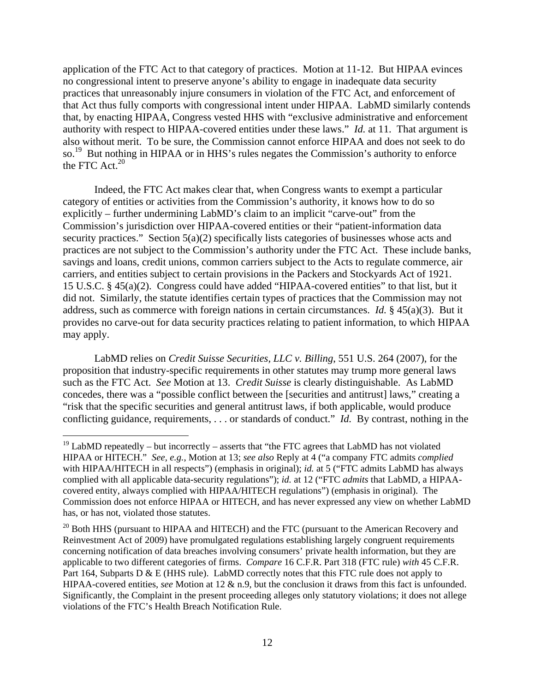application of the FTC Act to that category of practices. Motion at 11-12. But HIPAA evinces no congressional intent to preserve anyone's ability to engage in inadequate data security practices that unreasonably injure consumers in violation of the FTC Act, and enforcement of that Act thus fully comports with congressional intent under HIPAA. LabMD similarly contends that, by enacting HIPAA, Congress vested HHS with "exclusive administrative and enforcement authority with respect to HIPAA-covered entities under these laws." *Id.* at 11. That argument is also without merit. To be sure, the Commission cannot enforce HIPAA and does not seek to do so.<sup>19</sup> But nothing in HIPAA or in HHS's rules negates the Commission's authority to enforce the FTC Act. $20$ 

 Indeed, the FTC Act makes clear that, when Congress wants to exempt a particular category of entities or activities from the Commission's authority, it knows how to do so explicitly – further undermining LabMD's claim to an implicit "carve-out" from the Commission's jurisdiction over HIPAA-covered entities or their "patient-information data security practices." Section 5(a)(2) specifically lists categories of businesses whose acts and practices are not subject to the Commission's authority under the FTC Act. These include banks, savings and loans, credit unions, common carriers subject to the Acts to regulate commerce, air carriers, and entities subject to certain provisions in the Packers and Stockyards Act of 1921. 15 U.S.C. § 45(a)(2). Congress could have added "HIPAA-covered entities" to that list, but it did not. Similarly, the statute identifies certain types of practices that the Commission may not address, such as commerce with foreign nations in certain circumstances. *Id.* § 45(a)(3). But it provides no carve-out for data security practices relating to patient information, to which HIPAA may apply.

 LabMD relies on *Credit Suisse Securities, LLC v. Billing*, 551 U.S. 264 (2007), for the proposition that industry-specific requirements in other statutes may trump more general laws such as the FTC Act. *See* Motion at 13. *Credit Suisse* is clearly distinguishable. As LabMD concedes, there was a "possible conflict between the [securities and antitrust] laws," creating a "risk that the specific securities and general antitrust laws, if both applicable, would produce conflicting guidance, requirements, . . . or standards of conduct." *Id.* By contrast, nothing in the

 $19$  LabMD repeatedly – but incorrectly – asserts that "the FTC agrees that LabMD has not violated HIPAA or HITECH." *See, e.g.*, Motion at 13; *see also* Reply at 4 ("a company FTC admits *complied* with HIPAA/HITECH in all respects") (emphasis in original); *id.* at 5 ("FTC admits LabMD has always complied with all applicable data-security regulations"); *id.* at 12 ("FTC *admits* that LabMD, a HIPAAcovered entity, always complied with HIPAA/HITECH regulations") (emphasis in original). The Commission does not enforce HIPAA or HITECH, and has never expressed any view on whether LabMD has, or has not, violated those statutes.

<sup>&</sup>lt;sup>20</sup> Both HHS (pursuant to HIPAA and HITECH) and the FTC (pursuant to the American Recovery and Reinvestment Act of 2009) have promulgated regulations establishing largely congruent requirements concerning notification of data breaches involving consumers' private health information, but they are applicable to two different categories of firms. *Compare* 16 C.F.R. Part 318 (FTC rule) *with* 45 C.F.R. Part 164, Subparts D & E (HHS rule). LabMD correctly notes that this FTC rule does not apply to HIPAA-covered entities, *see* Motion at 12 & n.9, but the conclusion it draws from this fact is unfounded. Significantly, the Complaint in the present proceeding alleges only statutory violations; it does not allege violations of the FTC's Health Breach Notification Rule.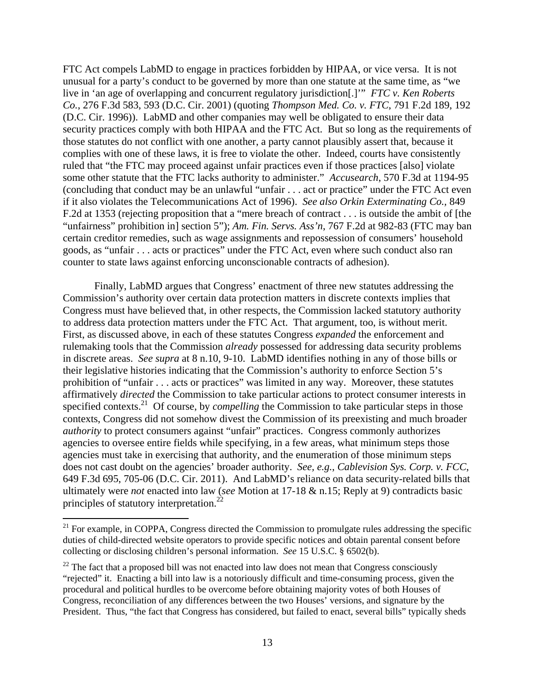FTC Act compels LabMD to engage in practices forbidden by HIPAA, or vice versa. It is not unusual for a party's conduct to be governed by more than one statute at the same time, as "we live in 'an age of overlapping and concurrent regulatory jurisdiction[.]'" *FTC v. Ken Roberts Co.*, 276 F.3d 583, 593 (D.C. Cir. 2001) (quoting *Thompson Med. Co. v. FTC*, 791 F.2d 189, 192 (D.C. Cir. 1996)). LabMD and other companies may well be obligated to ensure their data security practices comply with both HIPAA and the FTC Act. But so long as the requirements of those statutes do not conflict with one another, a party cannot plausibly assert that, because it complies with one of these laws, it is free to violate the other. Indeed, courts have consistently ruled that "the FTC may proceed against unfair practices even if those practices [also] violate some other statute that the FTC lacks authority to administer." *Accusearch*, 570 F.3d at 1194-95 (concluding that conduct may be an unlawful "unfair . . . act or practice" under the FTC Act even if it also violates the Telecommunications Act of 1996). *See also Orkin Exterminating Co.,* 849 F.2d at 1353 (rejecting proposition that a "mere breach of contract . . . is outside the ambit of [the "unfairness" prohibition in] section 5"); *Am. Fin. Servs. Ass'n*, 767 F.2d at 982-83 (FTC may ban certain creditor remedies, such as wage assignments and repossession of consumers' household goods, as "unfair . . . acts or practices" under the FTC Act, even where such conduct also ran counter to state laws against enforcing unconscionable contracts of adhesion).

 Finally, LabMD argues that Congress' enactment of three new statutes addressing the Commission's authority over certain data protection matters in discrete contexts implies that Congress must have believed that, in other respects, the Commission lacked statutory authority to address data protection matters under the FTC Act. That argument, too, is without merit. First, as discussed above, in each of these statutes Congress *expanded* the enforcement and rulemaking tools that the Commission *already* possessed for addressing data security problems in discrete areas. *See supra* at 8 n.10, 9-10. LabMD identifies nothing in any of those bills or their legislative histories indicating that the Commission's authority to enforce Section 5's prohibition of "unfair . . . acts or practices" was limited in any way. Moreover, these statutes affirmatively *directed* the Commission to take particular actions to protect consumer interests in specified contexts.<sup>21</sup> Of course, by *compelling* the Commission to take particular steps in those contexts, Congress did not somehow divest the Commission of its preexisting and much broader *authority* to protect consumers against "unfair" practices. Congress commonly authorizes agencies to oversee entire fields while specifying, in a few areas, what minimum steps those agencies must take in exercising that authority, and the enumeration of those minimum steps does not cast doubt on the agencies' broader authority. *See, e.g.*, *Cablevision Sys. Corp. v. FCC*, 649 F.3d 695, 705-06 (D.C. Cir. 2011). And LabMD's reliance on data security-related bills that ultimately were *not* enacted into law (*see* Motion at 17-18 & n.15; Reply at 9) contradicts basic principles of statutory interpretation.<sup>22</sup>

 $21$  For example, in COPPA, Congress directed the Commission to promulgate rules addressing the specific duties of child-directed website operators to provide specific notices and obtain parental consent before collecting or disclosing children's personal information. *See* 15 U.S.C. § 6502(b).

 $22$  The fact that a proposed bill was not enacted into law does not mean that Congress consciously "rejected" it. Enacting a bill into law is a notoriously difficult and time-consuming process, given the procedural and political hurdles to be overcome before obtaining majority votes of both Houses of Congress, reconciliation of any differences between the two Houses' versions, and signature by the President. Thus, "the fact that Congress has considered, but failed to enact, several bills" typically sheds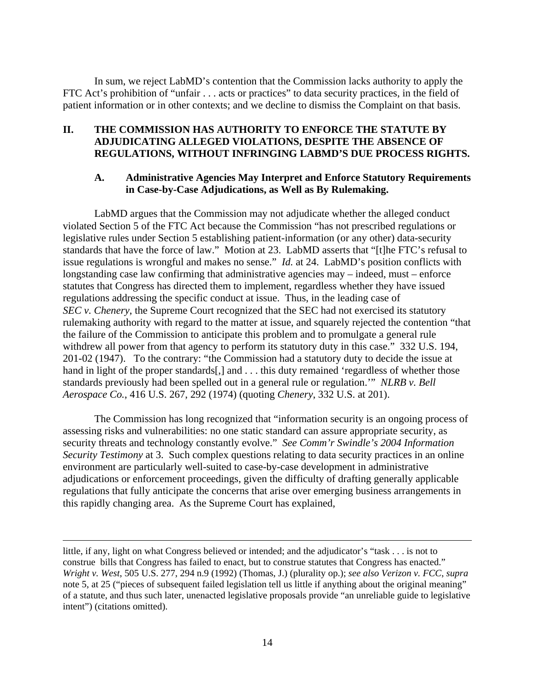In sum, we reject LabMD's contention that the Commission lacks authority to apply the FTC Act's prohibition of "unfair . . . acts or practices" to data security practices, in the field of patient information or in other contexts; and we decline to dismiss the Complaint on that basis.

## **II. THE COMMISSION HAS AUTHORITY TO ENFORCE THE STATUTE BY ADJUDICATING ALLEGED VIOLATIONS, DESPITE THE ABSENCE OF REGULATIONS, WITHOUT INFRINGING LABMD'S DUE PROCESS RIGHTS.**

### **A. Administrative Agencies May Interpret and Enforce Statutory Requirements in Case-by-Case Adjudications, as Well as By Rulemaking.**

 LabMD argues that the Commission may not adjudicate whether the alleged conduct violated Section 5 of the FTC Act because the Commission "has not prescribed regulations or legislative rules under Section 5 establishing patient-information (or any other) data-security standards that have the force of law." Motion at 23. LabMD asserts that "[t]he FTC's refusal to issue regulations is wrongful and makes no sense." *Id.* at 24. LabMD's position conflicts with longstanding case law confirming that administrative agencies may – indeed, must – enforce statutes that Congress has directed them to implement, regardless whether they have issued regulations addressing the specific conduct at issue. Thus, in the leading case of *SEC v. Chenery*, the Supreme Court recognized that the SEC had not exercised its statutory rulemaking authority with regard to the matter at issue, and squarely rejected the contention "that the failure of the Commission to anticipate this problem and to promulgate a general rule withdrew all power from that agency to perform its statutory duty in this case." 332 U.S. 194, 201-02 (1947). To the contrary: "the Commission had a statutory duty to decide the issue at hand in light of the proper standards[,] and . . . this duty remained 'regardless of whether those standards previously had been spelled out in a general rule or regulation.'" *NLRB v. Bell Aerospace Co.*, 416 U.S. 267, 292 (1974) (quoting *Chenery*, 332 U.S. at 201).

 The Commission has long recognized that "information security is an ongoing process of assessing risks and vulnerabilities: no one static standard can assure appropriate security, as security threats and technology constantly evolve." *See Comm'r Swindle's 2004 Information Security Testimony* at 3. Such complex questions relating to data security practices in an online environment are particularly well-suited to case-by-case development in administrative adjudications or enforcement proceedings, given the difficulty of drafting generally applicable regulations that fully anticipate the concerns that arise over emerging business arrangements in this rapidly changing area. As the Supreme Court has explained,

little, if any, light on what Congress believed or intended; and the adjudicator's "task . . . is not to construe bills that Congress has failed to enact, but to construe statutes that Congress has enacted." *Wright v. West*, 505 U.S. 277, 294 n.9 (1992) (Thomas, J.) (plurality op.); *see also Verizon v. FCC*, *supra* note 5, at 25 ("pieces of subsequent failed legislation tell us little if anything about the original meaning" of a statute, and thus such later, unenacted legislative proposals provide "an unreliable guide to legislative intent") (citations omitted).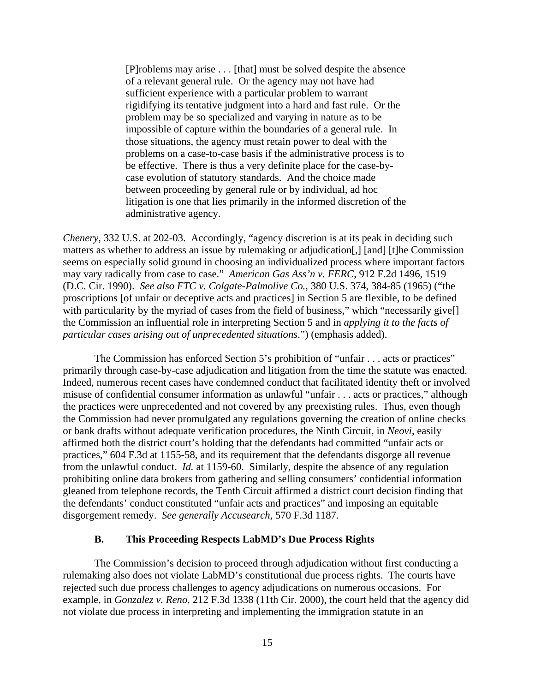[P]roblems may arise . . . [that] must be solved despite the absence of a relevant general rule. Or the agency may not have had sufficient experience with a particular problem to warrant rigidifying its tentative judgment into a hard and fast rule. Or the problem may be so specialized and varying in nature as to be impossible of capture within the boundaries of a general rule. In those situations, the agency must retain power to deal with the problems on a case-to-case basis if the administrative process is to be effective. There is thus a very definite place for the case-bycase evolution of statutory standards. And the choice made between proceeding by general rule or by individual, ad hoc litigation is one that lies primarily in the informed discretion of the administrative agency.

*Chenery*, 332 U.S. at 202-03. Accordingly, "agency discretion is at its peak in deciding such matters as whether to address an issue by rulemaking or adjudication[,] [and] [t]he Commission seems on especially solid ground in choosing an individualized process where important factors may vary radically from case to case." *American Gas Ass'n v. FERC*, 912 F.2d 1496, 1519 (D.C. Cir. 1990). *See also FTC v. Colgate-Palmolive Co.*, 380 U.S. 374, 384-85 (1965) ("the proscriptions [of unfair or deceptive acts and practices] in Section 5 are flexible, to be defined with particularity by the myriad of cases from the field of business," which "necessarily give. the Commission an influential role in interpreting Section 5 and in *applying it to the facts of particular cases arising out of unprecedented situations*.") (emphasis added).

 The Commission has enforced Section 5's prohibition of "unfair . . . acts or practices" primarily through case-by-case adjudication and litigation from the time the statute was enacted. Indeed, numerous recent cases have condemned conduct that facilitated identity theft or involved misuse of confidential consumer information as unlawful "unfair . . . acts or practices," although the practices were unprecedented and not covered by any preexisting rules. Thus, even though the Commission had never promulgated any regulations governing the creation of online checks or bank drafts without adequate verification procedures, the Ninth Circuit, in *Neovi*, easily affirmed both the district court's holding that the defendants had committed "unfair acts or practices," 604 F.3d at 1155-58, and its requirement that the defendants disgorge all revenue from the unlawful conduct. *Id.* at 1159-60. Similarly, despite the absence of any regulation prohibiting online data brokers from gathering and selling consumers' confidential information gleaned from telephone records, the Tenth Circuit affirmed a district court decision finding that the defendants' conduct constituted "unfair acts and practices" and imposing an equitable disgorgement remedy. *See generally Accusearch*, 570 F.3d 1187.

#### **B. This Proceeding Respects LabMD's Due Process Rights**

 The Commission's decision to proceed through adjudication without first conducting a rulemaking also does not violate LabMD's constitutional due process rights. The courts have rejected such due process challenges to agency adjudications on numerous occasions. For example, in *Gonzalez v. Reno*, 212 F.3d 1338 (11th Cir. 2000), the court held that the agency did not violate due process in interpreting and implementing the immigration statute in an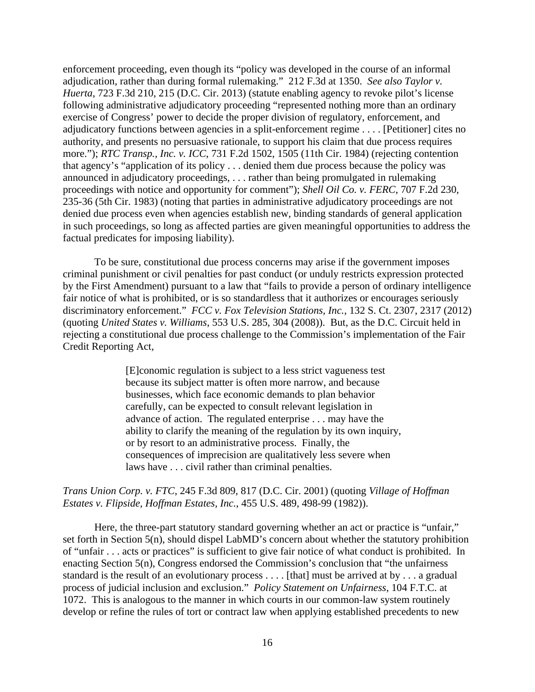enforcement proceeding, even though its "policy was developed in the course of an informal adjudication, rather than during formal rulemaking." 212 F.3d at 1350. *See also Taylor v. Huerta*, 723 F.3d 210, 215 (D.C. Cir. 2013) (statute enabling agency to revoke pilot's license following administrative adjudicatory proceeding "represented nothing more than an ordinary exercise of Congress' power to decide the proper division of regulatory, enforcement, and adjudicatory functions between agencies in a split-enforcement regime . . . . [Petitioner] cites no authority, and presents no persuasive rationale, to support his claim that due process requires more."); *RTC Transp., Inc. v. ICC*, 731 F.2d 1502, 1505 (11th Cir. 1984) (rejecting contention that agency's "application of its policy . . . denied them due process because the policy was announced in adjudicatory proceedings, . . . rather than being promulgated in rulemaking proceedings with notice and opportunity for comment"); *Shell Oil Co. v. FERC*, 707 F.2d 230, 235-36 (5th Cir. 1983) (noting that parties in administrative adjudicatory proceedings are not denied due process even when agencies establish new, binding standards of general application in such proceedings, so long as affected parties are given meaningful opportunities to address the factual predicates for imposing liability).

 To be sure, constitutional due process concerns may arise if the government imposes criminal punishment or civil penalties for past conduct (or unduly restricts expression protected by the First Amendment) pursuant to a law that "fails to provide a person of ordinary intelligence fair notice of what is prohibited, or is so standardless that it authorizes or encourages seriously discriminatory enforcement." *FCC v. Fox Television Stations, Inc.*, 132 S. Ct. 2307, 2317 (2012) (quoting *United States v. Williams*, 553 U.S. 285, 304 (2008)). But, as the D.C. Circuit held in rejecting a constitutional due process challenge to the Commission's implementation of the Fair Credit Reporting Act,

> [E]conomic regulation is subject to a less strict vagueness test because its subject matter is often more narrow, and because businesses, which face economic demands to plan behavior carefully, can be expected to consult relevant legislation in advance of action. The regulated enterprise . . . may have the ability to clarify the meaning of the regulation by its own inquiry, or by resort to an administrative process. Finally, the consequences of imprecision are qualitatively less severe when laws have . . . civil rather than criminal penalties.

#### *Trans Union Corp. v. FTC*, 245 F.3d 809, 817 (D.C. Cir. 2001) (quoting *Village of Hoffman Estates v. Flipside, Hoffman Estates, Inc.*, 455 U.S. 489, 498-99 (1982)).

 Here, the three-part statutory standard governing whether an act or practice is "unfair," set forth in Section 5(n), should dispel LabMD's concern about whether the statutory prohibition of "unfair . . . acts or practices" is sufficient to give fair notice of what conduct is prohibited. In enacting Section 5(n), Congress endorsed the Commission's conclusion that "the unfairness standard is the result of an evolutionary process . . . . [that] must be arrived at by . . . a gradual process of judicial inclusion and exclusion." *Policy Statement on Unfairness*, 104 F.T.C. at 1072. This is analogous to the manner in which courts in our common-law system routinely develop or refine the rules of tort or contract law when applying established precedents to new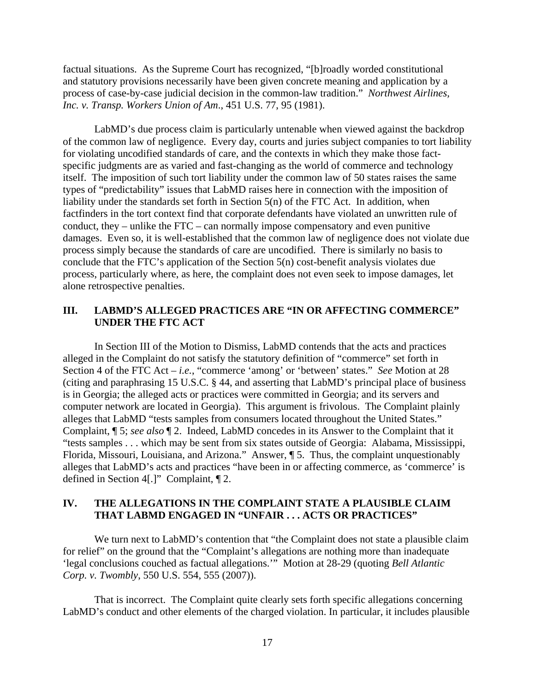factual situations. As the Supreme Court has recognized, "[b]roadly worded constitutional and statutory provisions necessarily have been given concrete meaning and application by a process of case-by-case judicial decision in the common-law tradition." *Northwest Airlines, Inc. v. Transp. Workers Union of Am*., 451 U.S. 77, 95 (1981).

 LabMD's due process claim is particularly untenable when viewed against the backdrop of the common law of negligence. Every day, courts and juries subject companies to tort liability for violating uncodified standards of care, and the contexts in which they make those factspecific judgments are as varied and fast-changing as the world of commerce and technology itself. The imposition of such tort liability under the common law of 50 states raises the same types of "predictability" issues that LabMD raises here in connection with the imposition of liability under the standards set forth in Section 5(n) of the FTC Act. In addition, when factfinders in the tort context find that corporate defendants have violated an unwritten rule of conduct, they – unlike the FTC – can normally impose compensatory and even punitive damages. Even so, it is well-established that the common law of negligence does not violate due process simply because the standards of care are uncodified. There is similarly no basis to conclude that the FTC's application of the Section 5(n) cost-benefit analysis violates due process, particularly where, as here, the complaint does not even seek to impose damages, let alone retrospective penalties.

### **III. LABMD'S ALLEGED PRACTICES ARE "IN OR AFFECTING COMMERCE" UNDER THE FTC ACT**

 In Section III of the Motion to Dismiss, LabMD contends that the acts and practices alleged in the Complaint do not satisfy the statutory definition of "commerce" set forth in Section 4 of the FTC Act – *i.e.*, "commerce 'among' or 'between' states." *See* Motion at 28 (citing and paraphrasing 15 U.S.C. § 44, and asserting that LabMD's principal place of business is in Georgia; the alleged acts or practices were committed in Georgia; and its servers and computer network are located in Georgia). This argument is frivolous. The Complaint plainly alleges that LabMD "tests samples from consumers located throughout the United States." Complaint, ¶ 5; *see also* ¶ 2. Indeed, LabMD concedes in its Answer to the Complaint that it "tests samples . . . which may be sent from six states outside of Georgia: Alabama, Mississippi, Florida, Missouri, Louisiana, and Arizona." Answer, ¶ 5. Thus, the complaint unquestionably alleges that LabMD's acts and practices "have been in or affecting commerce, as 'commerce' is defined in Section 4[.]" Complaint, ¶ 2.

### **IV. THE ALLEGATIONS IN THE COMPLAINT STATE A PLAUSIBLE CLAIM THAT LABMD ENGAGED IN "UNFAIR . . . ACTS OR PRACTICES"**

We turn next to LabMD's contention that "the Complaint does not state a plausible claim for relief" on the ground that the "Complaint's allegations are nothing more than inadequate 'legal conclusions couched as factual allegations.'" Motion at 28-29 (quoting *Bell Atlantic Corp. v. Twombly*, 550 U.S. 554, 555 (2007)).

That is incorrect. The Complaint quite clearly sets forth specific allegations concerning LabMD's conduct and other elements of the charged violation. In particular, it includes plausible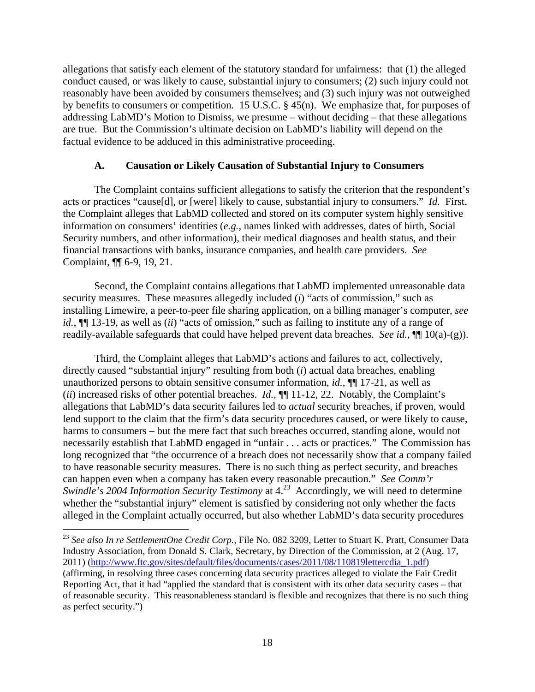allegations that satisfy each element of the statutory standard for unfairness: that (1) the alleged conduct caused, or was likely to cause, substantial injury to consumers; (2) such injury could not reasonably have been avoided by consumers themselves; and (3) such injury was not outweighed by benefits to consumers or competition. 15 U.S.C. § 45(n). We emphasize that, for purposes of addressing LabMD's Motion to Dismiss, we presume – without deciding – that these allegations are true. But the Commission's ultimate decision on LabMD's liability will depend on the factual evidence to be adduced in this administrative proceeding.

#### **A. Causation or Likely Causation of Substantial Injury to Consumers**

 The Complaint contains sufficient allegations to satisfy the criterion that the respondent's acts or practices "cause[d], or [were] likely to cause, substantial injury to consumers." *Id.* First, the Complaint alleges that LabMD collected and stored on its computer system highly sensitive information on consumers' identities (*e.g.*, names linked with addresses, dates of birth, Social Security numbers, and other information), their medical diagnoses and health status, and their financial transactions with banks, insurance companies, and health care providers. *See* Complaint, ¶¶ 6-9, 19, 21.

 Second, the Complaint contains allegations that LabMD implemented unreasonable data security measures. These measures allegedly included (*i*) "acts of commission," such as installing Limewire, a peer-to-peer file sharing application, on a billing manager's computer, *see id.*, ¶¶ 13-19, as well as (*ii*) "acts of omission," such as failing to institute any of a range of readily-available safeguards that could have helped prevent data breaches. *See id.*, ¶¶ 10(a)-(g)).

 Third, the Complaint alleges that LabMD's actions and failures to act, collectively, directly caused "substantial injury" resulting from both (*i*) actual data breaches, enabling unauthorized persons to obtain sensitive consumer information, *id.*, ¶¶ 17-21, as well as (*ii*) increased risks of other potential breaches. *Id.*, ¶¶ 11-12, 22. Notably, the Complaint's allegations that LabMD's data security failures led to *actual* security breaches, if proven, would lend support to the claim that the firm's data security procedures caused, or were likely to cause, harms to consumers – but the mere fact that such breaches occurred, standing alone, would not necessarily establish that LabMD engaged in "unfair . . . acts or practices." The Commission has long recognized that "the occurrence of a breach does not necessarily show that a company failed to have reasonable security measures. There is no such thing as perfect security, and breaches can happen even when a company has taken every reasonable precaution." *See Comm'r Swindle's 2004 Information Security Testimony* at 4.<sup>23</sup> Accordingly, we will need to determine whether the "substantial injury" element is satisfied by considering not only whether the facts alleged in the Complaint actually occurred, but also whether LabMD's data security procedures

<sup>23</sup> *See also In re SettlementOne Credit Corp.,* File No. 082 3209, Letter to Stuart K. Pratt, Consumer Data Industry Association, from Donald S. Clark, Secretary, by Direction of the Commission, at 2 (Aug. 17, 2011) (http://www.ftc.gov/sites/default/files/documents/cases/2011/08/110819lettercdia\_1.pdf) (affirming, in resolving three cases concerning data security practices alleged to violate the Fair Credit Reporting Act, that it had "applied the standard that is consistent with its other data security cases – that of reasonable security. This reasonableness standard is flexible and recognizes that there is no such thing as perfect security.")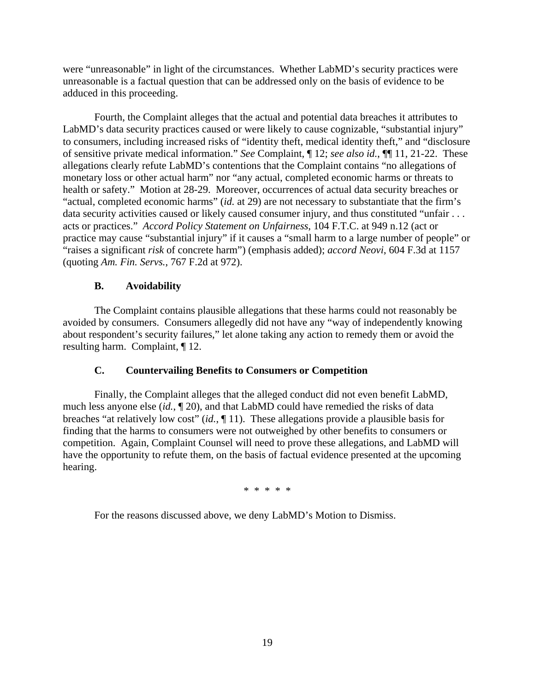were "unreasonable" in light of the circumstances. Whether LabMD's security practices were unreasonable is a factual question that can be addressed only on the basis of evidence to be adduced in this proceeding.

 Fourth, the Complaint alleges that the actual and potential data breaches it attributes to LabMD's data security practices caused or were likely to cause cognizable, "substantial injury" to consumers, including increased risks of "identity theft, medical identity theft," and "disclosure of sensitive private medical information." *See* Complaint, ¶ 12; *see also id.*, ¶¶ 11, 21-22. These allegations clearly refute LabMD's contentions that the Complaint contains "no allegations of monetary loss or other actual harm" nor "any actual, completed economic harms or threats to health or safety." Motion at 28-29. Moreover, occurrences of actual data security breaches or "actual, completed economic harms" (*id.* at 29) are not necessary to substantiate that the firm's data security activities caused or likely caused consumer injury, and thus constituted "unfair . . . acts or practices." *Accord Policy Statement on Unfairness*, 104 F.T.C. at 949 n.12 (act or practice may cause "substantial injury" if it causes a "small harm to a large number of people" or "raises a significant *risk* of concrete harm") (emphasis added); *accord Neovi*, 604 F.3d at 1157 (quoting *Am. Fin. Servs.*, 767 F.2d at 972).

## **B. Avoidability**

 The Complaint contains plausible allegations that these harms could not reasonably be avoided by consumers. Consumers allegedly did not have any "way of independently knowing about respondent's security failures," let alone taking any action to remedy them or avoid the resulting harm. Complaint, ¶ 12.

## **C. Countervailing Benefits to Consumers or Competition**

 Finally, the Complaint alleges that the alleged conduct did not even benefit LabMD, much less anyone else (*id.*, ¶ 20), and that LabMD could have remedied the risks of data breaches "at relatively low cost" (*id.*, ¶ 11). These allegations provide a plausible basis for finding that the harms to consumers were not outweighed by other benefits to consumers or competition. Again, Complaint Counsel will need to prove these allegations, and LabMD will have the opportunity to refute them, on the basis of factual evidence presented at the upcoming hearing.

\* \* \* \* \*

For the reasons discussed above, we deny LabMD's Motion to Dismiss.